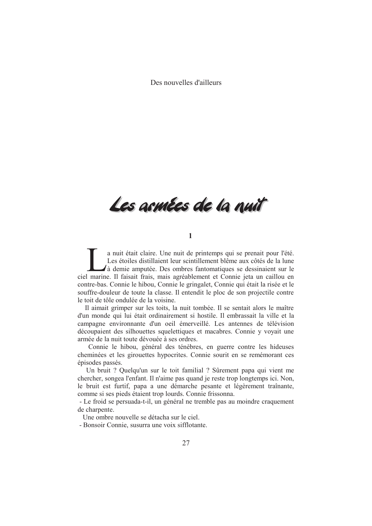Des nouvelles d'ailleurs

Les asmées de la nuit

## $\mathbf{1}$

a nuit était claire. Une nuit de printemps qui se prenait pour l'été. Les étoiles distillaient leur scintillement blême aux côtés de la lune  $\lambda$ à demie amputée. Des ombres fantomatiques se dessinaient sur le ciel marine. Il faisait frais, mais agréablement et Connie jeta un caillou en contre-bas. Connie le hibou, Connie le gringalet, Connie qui était la risée et le souffre-douleur de toute la classe. Il entendit le ploc de son projectile contre le toit de tôle ondulée de la voisine.

Il aimait grimper sur les toits, la nuit tombée. Il se sentait alors le maître d'un monde qui lui était ordinairement si hostile. Il embrassait la ville et la campagne environnante d'un oeil émerveillé. Les antennes de télévision découpaient des silhouettes squelettiques et macabres. Connie y voyait une armée de la nuit toute dévouée à ses ordres.

Connie le hibou, général des ténèbres, en guerre contre les hideuses cheminées et les girouettes hypocrites. Connie sourit en se remémorant ces épisodes passés.

Un bruit ? Quelqu'un sur le toit familial ? Sûrement papa qui vient me chercher, songea l'enfant. Il n'aime pas quand je reste trop longtemps ici. Non, le bruit est furtif, papa a une démarche pesante et légèrement traînante, comme si ses pieds étaient trop lourds. Connie frissonna.

- Le froid se persuada-t-il, un général ne tremble pas au moindre craquement de charpente.

Une ombre nouvelle se détacha sur le ciel.

- Bonsoir Connie, susurra une voix sifflotante.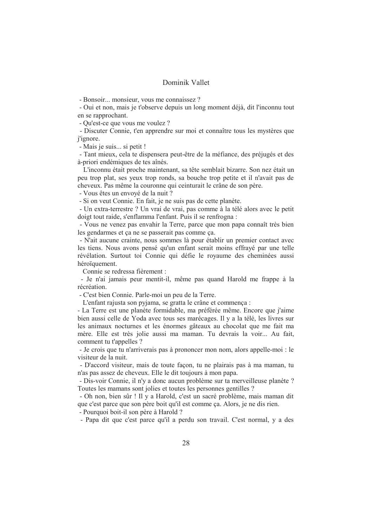## Dominik Vallet

- Bonsoir... monsieur, vous me connaissez ?

- Qui et non, mais je t'observe depuis un long moment déjà, dit l'inconnu tout en se rapprochant.

- Ou'est-ce que vous me voulez ?

- Discuter Connie, t'en apprendre sur moi et connaître tous les mystères que *i'ignore.* 

- Mais je suis... si petit !

- Tant mieux, cela te dispensera peut-être de la méfiance, des préjugés et des à-priori endémiques de tes aînés.

L'inconnu était proche maintenant, sa tête semblait bizarre. Son nez était un peu trop plat, ses yeux trop ronds, sa bouche trop petite et il n'avait pas de cheveux. Pas même la couronne qui ceinturait le crâne de son père.

- Vous êtes un envoyé de la nuit?

- Si on veut Connie. En fait, je ne suis pas de cette planète.

- Un extra-terrestre ? Un vrai de vrai, pas comme à la télé alors avec le petit doigt tout raide, s'enflamma l'enfant. Puis il se renfrogna :

- Vous ne venez pas envahir la Terre, parce que mon papa connaît très bien les gendarmes et ça ne se passerait pas comme ca.

- N'ait aucune crainte, nous sommes là pour établir un premier contact avec les tiens. Nous avons pensé qu'un enfant serait moins effrayé par une telle révélation. Surtout toi Connie qui défie le royaume des cheminées aussi héroïquement.

Connie se redressa fièrement ·

- Je n'ai jamais peur mentit-il, même pas quand Harold me frappe à la récréation.

- C'est bien Connie. Parle-moi un peu de la Terre.

L'enfant rajusta son pyjama, se gratta le crâne et commença :

- La Terre est une planète formidable, ma préférée même. Encore que j'aime bien aussi celle de Yoda avec tous ses marécages. Il y a la télé, les livres sur les animaux nocturnes et les énormes gâteaux au chocolat que me fait ma mère. Elle est très jolie aussi ma maman. Tu devrais la voir... Au fait, comment tu t'appelles ?

- Je crois que tu n'arriverais pas à prononcer mon nom, alors appelle-moi : le visiteur de la nuit.

- D'accord visiteur, mais de toute façon, tu ne plairais pas à ma maman, tu n'as pas assez de cheveux. Elle le dit toujours à mon papa.

- Dis-voir Connie, il n'y a donc aucun problème sur ta merveilleuse planète ? Toutes les mamans sont jolies et toutes les personnes gentilles ?

- Oh non, bien sûr ! Il y a Harold, c'est un sacré problème, mais maman dit que c'est parce que son père boit qu'il est comme ça. Alors, je ne dis rien.

- Pourquoi boit-il son père à Harold?

- Papa dit que c'est parce qu'il a perdu son travail. C'est normal, y a des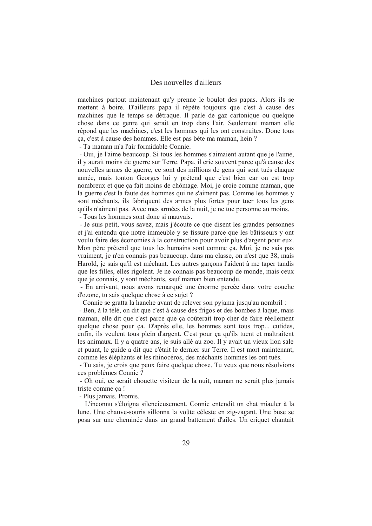## Des nouvelles d'ailleurs

machines partout maintenant qu'y prenne le boulot des papas. Alors ils se mettent à boire. D'ailleurs papa il répète toujours que c'est à cause des machines que le temps se détraque. Il parle de gaz cartonique ou quelque chose dans ce genre qui serait en trop dans l'air. Seulement maman elle répond que les machines, c'est les hommes qui les ont construites. Donc tous ca, c'est à cause des hommes. Elle est pas bête ma maman, hein?

- Ta maman m'a l'air formidable Connie.

- Oui, je l'aime beaucoup. Si tous les hommes s'aimaient autant que je l'aime, il y aurait moins de guerre sur Terre. Papa, il crie souvent parce qu'à cause des nouvelles armes de guerre, ce sont des millions de gens qui sont tués chaque année, mais tonton Georges lui y prétend que c'est bien car on est trop nombreux et que ca fait moins de chômage. Moi, je croie comme maman, que la guerre c'est la faute des hommes qui ne s'aiment pas. Comme les hommes y sont méchants, ils fabriquent des armes plus fortes pour tuer tous les gens qu'ils n'aiment pas. Avec mes armées de la nuit, je ne tue personne au moins.

- Tous les hommes sont donc si mauvais.

- Je suis petit, vous savez, mais j'écoute ce que disent les grandes personnes et j'ai entendu que notre immeuble y se fissure parce que les bâtisseurs y ont voulu faire des économies à la construction pour avoir plus d'argent pour eux. Mon père prétend que tous les humains sont comme ça. Moi, je ne sais pas vraiment, je n'en connais pas beaucoup, dans ma classe, on n'est que 38, mais Harold, je sais qu'il est méchant. Les autres garçons l'aident à me taper tandis que les filles, elles rigolent. Je ne connais pas beaucoup de monde, mais ceux que je connais, y sont méchants, sauf maman bien entendu.

- En arrivant, nous avons remarqué une énorme percée dans votre couche d'ozone, tu sais quelque chose à ce sujet ?

Connie se gratta la hanche avant de relever son pyjama jusqu'au nombril :

- Ben, à la télé, on dit que c'est à cause des frigos et des bombes à laque, mais maman, elle dit que c'est parce que ça coûterait trop cher de faire réellement quelque chose pour ca. D'après elle, les hommes sont tous trop... cutides, enfin, ils veulent tous plein d'argent. C'est pour ça qu'ils tuent et maltraitent les animaux. Il y a quatre ans, je suis allé au zoo. Il y avait un vieux lion sale et puant, le guide a dit que c'était le dernier sur Terre. Il est mort maintenant, comme les éléphants et les rhinocéros, des méchants hommes les ont tués.

- Tu sais, je crois que peux faire quelque chose. Tu veux que nous résolvions ces problèmes Connie?

- Oh oui, ce serait chouette visiteur de la nuit, maman ne serait plus jamais triste comme ca!

- Plus jamais. Promis.

L'inconnu s'éloigna silencieusement. Connie entendit un chat miauler à la lune. Une chauve-souris sillonna la voûte céleste en zig-zagant. Une buse se posa sur une cheminée dans un grand battement d'ailes. Un criquet chantait